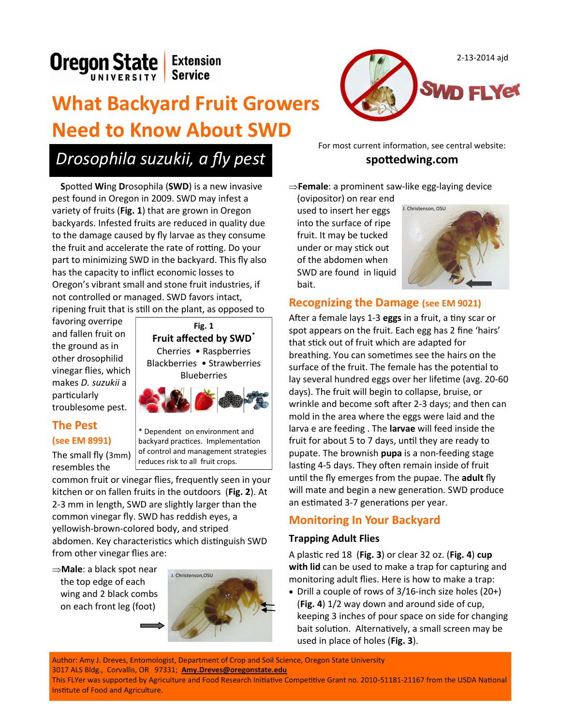

# **What Backyard Fruit Growers Need to Know About SWD**

## *Drosophila suzukii, a fly pest*

**S**potted **Wi**ng **D**rosophila (**SWD**) is a new invasive pest found in Oregon in 2009. SWD may infest a variety of fruits (**Fig. 1**) that are grown in Oregon backyards. Infested fruits are reduced in quality due to the damage caused by fly larvae as they consume the fruit and accelerate the rate of rotting. Do your part to minimizing SWD in the backyard. This fly also has the capacity to inflict economic losses to Oregon's vibrant small and stone fruit industries, if not controlled or managed. SWD favors intact, ripening fruit that is still on the plant, as opposed to

favoring overripe and fallen fruit on the ground as in other drosophilid vinegar flies, which makes *D. suzukii* a particularly troublesome pest.

#### **The Pest (see EM 8991)**

The small fly (3mm) resembles the



\* Dependent on environment and backyard practices. Implementation of control and management strategies reduces risk to all fruit crops.

common fruit or vinegar flies, frequently seen in your kitchen or on fallen fruits in the outdoors (**Fig. 2**). At 2-3 mm in length, SWD are slightly larger than the common vinegar fly. SWD has reddish eyes, a yellowish-brown-colored body, and striped abdomen. Key characteristics which distinguish SWD from other vinegar flies are:

**Male**: a black spot near the top edge of each wing and 2 black combs on each front leg (foot)





For most current information, see central website: **spottedwing.com**

**Female**: a prominent saw-like egg-laying device

(ovipositor) on rear end used to insert her eggs into the surface of ripe fruit. It may be tucked under or may stick out of the abdomen when SWD are found in liquid bait.



#### **Recognizing the Damage (see EM 9021)**

After a female lays 1-3 **eggs** in a fruit, a tiny scar or spot appears on the fruit. Each egg has 2 fine 'hairs' that stick out of fruit which are adapted for breathing. You can sometimes see the hairs on the surface of the fruit. The female has the potential to lay several hundred eggs over her lifetime (avg. 20-60 days). The fruit will begin to collapse, bruise, or wrinkle and become soft after 2-3 days; and then can mold in the area where the eggs were laid and the larva e are feeding . The **larvae** will feed inside the fruit for about 5 to 7 days, until they are ready to pupate. The brownish **pupa** is a non-feeding stage lasting 4-5 days. They often remain inside of fruit until the fly emerges from the pupae. The **adult** fly will mate and begin a new generation. SWD produce an estimated 3-7 generations per year.

## **Monitoring In Your Backyard**

#### **Trapping Adult Flies**

A plastic red 18 (**Fig. 3**) or clear 32 oz. (**Fig. 4**) **cup with lid** can be used to make a trap for capturing and monitoring adult flies. Here is how to make a trap:

• Drill a couple of rows of  $3/16$ -inch size holes  $(20+)$ (**Fig. 4**) 1/2 way down and around side of cup, keeping 3 inches of pour space on side for changing bait solution. Alternatively, a small screen may be used in place of holes (**Fig. 3**).

1 This FLYer was supported by Agriculture and Food Research Initiative Competitive Grant no. 2010-51181-21167 from the USDA National Author: Amy J. Dreves, Entomologist, Department of Crop and Soil Science, Oregon State University 3017 ALS Bldg., Corvallis, OR 97331; **[Amy.Dreves@oregonstate.edu](mailto:Amy.Dreves@oregonstate.edu)** Institute of Food and Agriculture.